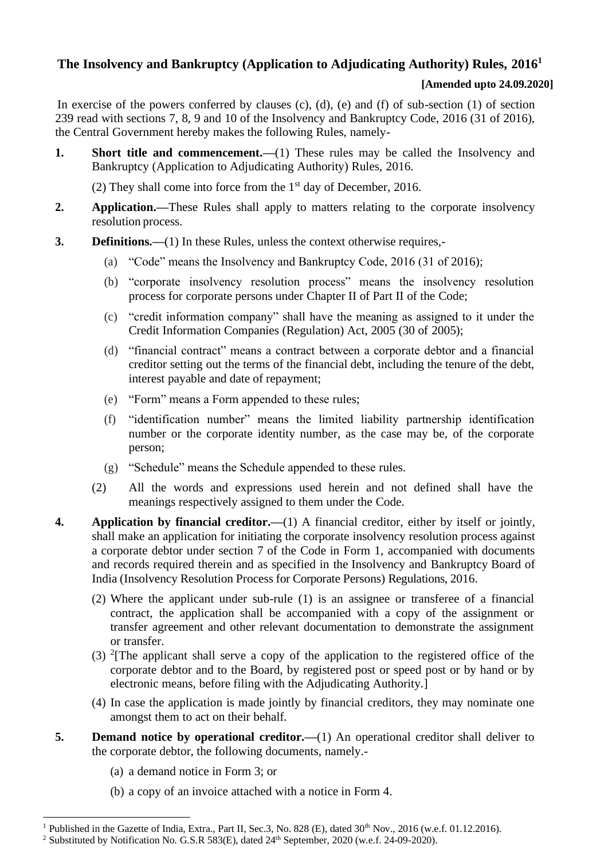## **The Insolvency and Bankruptcy (Application to Adjudicating Authority) Rules, 2016<sup>1</sup>**

### **[Amended upto 24.09.2020]**

In exercise of the powers conferred by clauses  $(c)$ ,  $(d)$ ,  $(e)$  and  $(f)$  of sub-section  $(1)$  of section 239 read with sections 7, 8, 9 and 10 of the Insolvency and Bankruptcy Code, 2016 (31 of 2016), the Central Government hereby makes the following Rules, namely-

**1. Short title and commencement.**—(1) These rules may be called the Insolvency and Bankruptcy (Application to Adjudicating Authority) Rules, 2016.

(2) They shall come into force from the  $1<sup>st</sup>$  day of December, 2016.

- **2. Application.—**These Rules shall apply to matters relating to the corporate insolvency resolution process.
- **3. Definitions.—**(1) In these Rules, unless the context otherwise requires,-
	- (a) "Code" means the Insolvency and Bankruptcy Code, 2016 (31 of 2016);
	- (b) "corporate insolvency resolution process" means the insolvency resolution process for corporate persons under Chapter II of Part II of the Code;
	- (c) "credit information company" shall have the meaning as assigned to it under the Credit Information Companies (Regulation) Act, 2005 (30 of 2005);
	- (d) "financial contract" means a contract between a corporate debtor and a financial creditor setting out the terms of the financial debt, including the tenure of the debt, interest payable and date of repayment;
	- (e) "Form" means a Form appended to these rules;
	- (f) "identification number" means the limited liability partnership identification number or the corporate identity number, as the case may be, of the corporate person;
	- (g) "Schedule" means the Schedule appended to these rules.
	- (2) All the words and expressions used herein and not defined shall have the meanings respectively assigned to them under the Code.
- **4. Application by financial creditor.—**(1) A financial creditor, either by itself or jointly, shall make an application for initiating the corporate insolvency resolution process against a corporate debtor under section 7 of the Code in Form 1, accompanied with documents and records required therein and as specified in the Insolvency and Bankruptcy Board of India (Insolvency Resolution Process for Corporate Persons) Regulations, 2016.
	- (2) Where the applicant under sub-rule (1) is an assignee or transferee of a financial contract, the application shall be accompanied with a copy of the assignment or transfer agreement and other relevant documentation to demonstrate the assignment or transfer.
	- (3) <sup>2</sup>[The applicant shall serve a copy of the application to the registered office of the corporate debtor and to the Board, by registered post or speed post or by hand or by electronic means, before filing with the Adjudicating Authority.]
	- (4) In case the application is made jointly by financial creditors, they may nominate one amongst them to act on their behalf.
- **5. Demand notice by operational creditor.**—(1) An operational creditor shall deliver to the corporate debtor, the following documents, namely.-
	- (a) a demand notice in Form 3; or
	- (b) a copy of an invoice attached with a notice in Form 4.

<sup>&</sup>lt;sup>1</sup> Published in the Gazette of India, Extra., Part II, Sec.3, No. 828 (E), dated  $30<sup>th</sup>$  Nov., 2016 (w.e.f. 01.12.2016).

<sup>&</sup>lt;sup>2</sup> Substituted by Notification No. G.S.R 583(E), dated  $24<sup>th</sup>$  September, 2020 (w.e.f. 24-09-2020).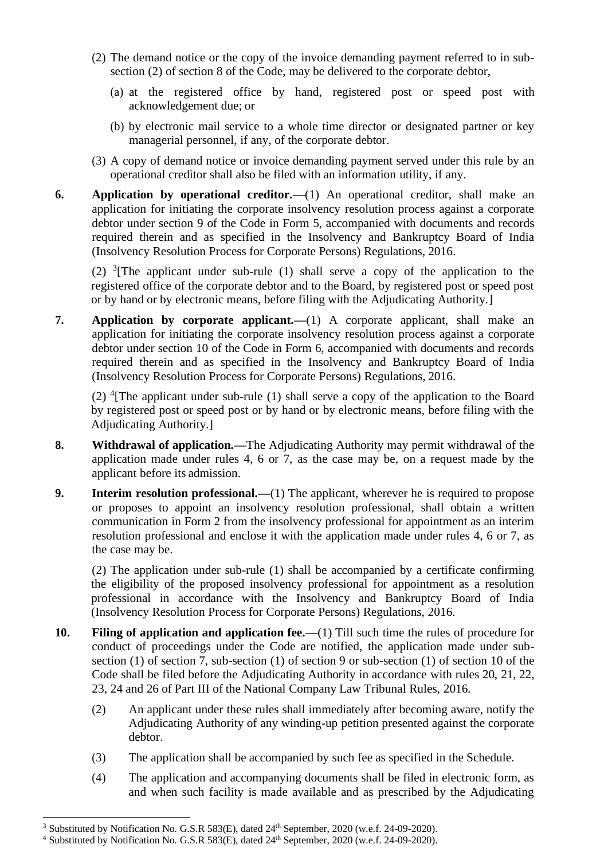- (2) The demand notice or the copy of the invoice demanding payment referred to in subsection (2) of section 8 of the Code, may be delivered to the corporate debtor,
	- (a) at the registered office by hand, registered post or speed post with acknowledgement due; or
	- (b) by electronic mail service to a whole time director or designated partner or key managerial personnel, if any, of the corporate debtor.
- (3) A copy of demand notice or invoice demanding payment served under this rule by an operational creditor shall also be filed with an information utility, if any.
- **6. Application by operational creditor.—**(1) An operational creditor, shall make an application for initiating the corporate insolvency resolution process against a corporate debtor under section 9 of the Code in Form 5, accompanied with documents and records required therein and as specified in the Insolvency and Bankruptcy Board of India (Insolvency Resolution Process for Corporate Persons) Regulations, 2016.

(2)  $\frac{3}{7}$ The applicant under sub-rule (1) shall serve a copy of the application to the registered office of the corporate debtor and to the Board, by registered post or speed post or by hand or by electronic means, before filing with the Adjudicating Authority.]

**7. Application by corporate applicant.—**(1) A corporate applicant, shall make an application for initiating the corporate insolvency resolution process against a corporate debtor under section 10 of the Code in Form 6, accompanied with documents and records required therein and as specified in the Insolvency and Bankruptcy Board of India (Insolvency Resolution Process for Corporate Persons) Regulations, 2016.

(2) <sup>4</sup> [The applicant under sub-rule (1) shall serve a copy of the application to the Board by registered post or speed post or by hand or by electronic means, before filing with the Adjudicating Authority.]

- **8. Withdrawal of application.—**The Adjudicating Authority may permit withdrawal of the application made under rules 4, 6 or 7, as the case may be, on a request made by the applicant before its admission.
- **9. Interim resolution professional.**—(1) The applicant, wherever he is required to propose or proposes to appoint an insolvency resolution professional, shall obtain a written communication in Form 2 from the insolvency professional for appointment as an interim resolution professional and enclose it with the application made under rules 4, 6 or 7, as the case may be.

(2) The application under sub-rule (1) shall be accompanied by a certificate confirming the eligibility of the proposed insolvency professional for appointment as a resolution professional in accordance with the Insolvency and Bankruptcy Board of India (Insolvency Resolution Process for Corporate Persons) Regulations, 2016.

- **10. Filing of application and application fee.—**(1) Till such time the rules of procedure for conduct of proceedings under the Code are notified, the application made under subsection (1) of section 7, sub-section (1) of section 9 or sub-section (1) of section 10 of the Code shall be filed before the Adjudicating Authority in accordance with rules 20, 21, 22, 23, 24 and 26 of Part III of the National Company Law Tribunal Rules, 2016.
	- (2) An applicant under these rules shall immediately after becoming aware, notify the Adjudicating Authority of any winding-up petition presented against the corporate debtor.
	- (3) The application shall be accompanied by such fee as specified in the Schedule.
	- (4) The application and accompanying documents shall be filed in electronic form, as and when such facility is made available and as prescribed by the Adjudicating

<sup>&</sup>lt;sup>3</sup> Substituted by Notification No. G.S.R 583(E), dated 24<sup>th</sup> September, 2020 (w.e.f. 24-09-2020).

<sup>&</sup>lt;sup>4</sup> Substituted by Notification No. G.S.R 583(E), dated 24<sup>th</sup> September, 2020 (w.e.f. 24-09-2020).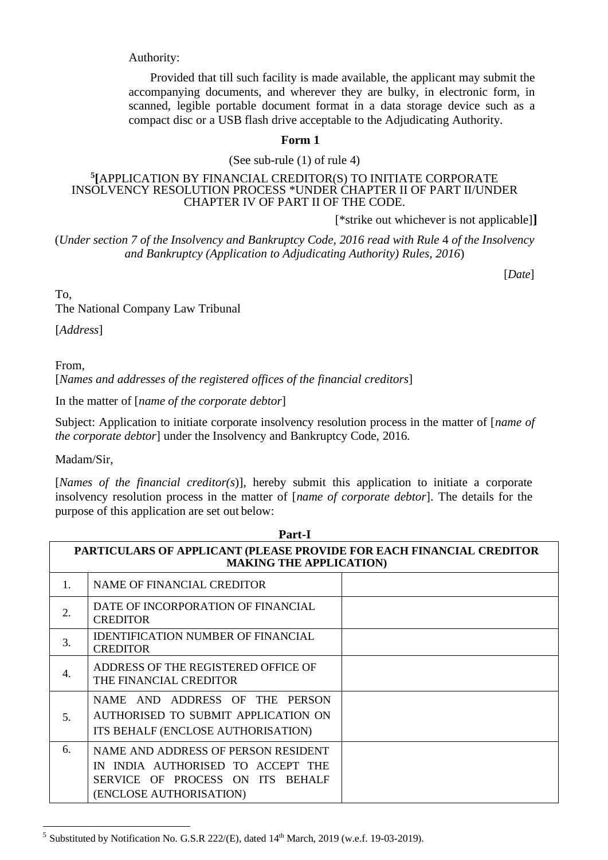Authority:

 Provided that till such facility is made available, the applicant may submit the accompanying documents, and wherever they are bulky, in electronic form, in scanned, legible portable document format in a data storage device such as a compact disc or a USB flash drive acceptable to the Adjudicating Authority.

#### **Form 1**

(See sub-rule (1) of rule 4)

#### **5 [**APPLICATION BY FINANCIAL CREDITOR(S) TO INITIATE CORPORATE INSOLVENCY RESOLUTION PROCESS \*UNDER CHAPTER II OF PART II/UNDER CHAPTER IV OF PART II OF THE CODE.

[\*strike out whichever is not applicable]**]**

(*Under section 7 of the Insolvency and Bankruptcy Code, 2016 read with Rule 4 of the Insolvency and Bankruptcy (Application to Adjudicating Authority) Rules, 2016*)

[*Date*]

To,

The National Company Law Tribunal

[*Address*]

From,

[*Names and addresses of the registered offices of the financial creditors*]

In the matter of [*name of the corporate debtor*]

Subject: Application to initiate corporate insolvency resolution process in the matter of [*name of the corporate debtor*] under the Insolvency and Bankruptcy Code, 2016.

Madam/Sir,

[*Names of the financial creditor(s*)], hereby submit this application to initiate a corporate insolvency resolution process in the matter of [*name of corporate debtor*]. The details for the purpose of this application are set out below:

| Part-I |                                                                                                                                                   |  |  |  |  |  |
|--------|---------------------------------------------------------------------------------------------------------------------------------------------------|--|--|--|--|--|
|        | PARTICULARS OF APPLICANT (PLEASE PROVIDE FOR EACH FINANCIAL CREDITOR<br><b>MAKING THE APPLICATION)</b>                                            |  |  |  |  |  |
| 1.     | <b>NAME OF FINANCIAL CREDITOR</b>                                                                                                                 |  |  |  |  |  |
| 2.     | DATE OF INCORPORATION OF FINANCIAL<br><b>CREDITOR</b>                                                                                             |  |  |  |  |  |
| 3.     | <b>IDENTIFICATION NUMBER OF FINANCIAL</b><br><b>CREDITOR</b>                                                                                      |  |  |  |  |  |
| 4.     | ADDRESS OF THE REGISTERED OFFICE OF<br>THE FINANCIAL CREDITOR                                                                                     |  |  |  |  |  |
| 5.     | NAME AND ADDRESS OF THE PERSON<br>AUTHORISED TO SUBMIT APPLICATION ON<br>ITS BEHALF (ENCLOSE AUTHORISATION)                                       |  |  |  |  |  |
| 6.     | NAME AND ADDRESS OF PERSON RESIDENT<br>IN INDIA AUTHORISED TO ACCEPT THE<br>SERVICE OF PROCESS ON ITS<br><b>BEHALF</b><br>(ENCLOSE AUTHORISATION) |  |  |  |  |  |

<sup>&</sup>lt;sup>5</sup> Substituted by Notification No. G.S.R 222/(E), dated  $14<sup>th</sup>$  March, 2019 (w.e.f. 19-03-2019).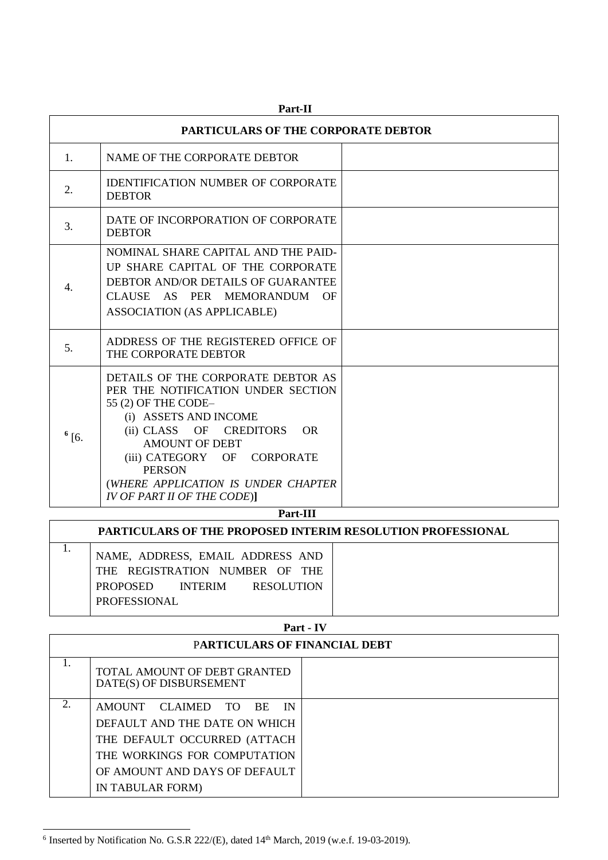|            | PARTICULARS OF THE CORPORATE DEBTOR                                                                                                                                                                                                                                                                          |  |  |  |  |
|------------|--------------------------------------------------------------------------------------------------------------------------------------------------------------------------------------------------------------------------------------------------------------------------------------------------------------|--|--|--|--|
| 1.         | NAME OF THE CORPORATE DEBTOR                                                                                                                                                                                                                                                                                 |  |  |  |  |
| 2.         | <b>IDENTIFICATION NUMBER OF CORPORATE</b><br><b>DEBTOR</b>                                                                                                                                                                                                                                                   |  |  |  |  |
| 3.         | DATE OF INCORPORATION OF CORPORATE<br><b>DEBTOR</b>                                                                                                                                                                                                                                                          |  |  |  |  |
| 4.         | NOMINAL SHARE CAPITAL AND THE PAID-<br>UP SHARE CAPITAL OF THE CORPORATE<br>DEBTOR AND/OR DETAILS OF GUARANTEE<br>CLAUSE AS PER MEMORANDUM OF<br><b>ASSOCIATION (AS APPLICABLE)</b>                                                                                                                          |  |  |  |  |
| 5.         | ADDRESS OF THE REGISTERED OFFICE OF<br>THE CORPORATE DEBTOR                                                                                                                                                                                                                                                  |  |  |  |  |
| $^{6}$ [6. | DETAILS OF THE CORPORATE DEBTOR AS<br>PER THE NOTIFICATION UNDER SECTION<br>55 (2) OF THE CODE-<br>(i) ASSETS AND INCOME<br>(ii) CLASS OF CREDITORS OR<br><b>AMOUNT OF DEBT</b><br>(iii) CATEGORY OF CORPORATE<br><b>PERSON</b><br>(WHERE APPLICATION IS UNDER CHAPTER<br><b>IV OF PART II OF THE CODE)]</b> |  |  |  |  |
| Part-III   |                                                                                                                                                                                                                                                                                                              |  |  |  |  |

#### **Part-II**

| <b>PARTICULARS OF THE PROPOSED INTERIM RESOLUTION PROFESSIONAL</b>                                                                 |  |
|------------------------------------------------------------------------------------------------------------------------------------|--|
| NAME, ADDRESS, EMAIL ADDRESS AND<br>THE REGISTRATION NUMBER OF THE<br>INTERIM RESOLUTION<br><b>PROPOSED</b><br><b>PROFESSIONAL</b> |  |

## **Part - IV** P**ARTICULARS OF FINANCIAL DEBT** 1. TOTAL AMOUNT OF DEBT GRANTED DATE(S) OF DISBURSEMENT 2. AMOUNT CLAIMED TO BE IN DEFAULT AND THE DATE ON WHICH THE DEFAULT OCCURRED (ATTACH THE WORKINGS FOR COMPUTATION OF AMOUNT AND DAYS OF DEFAULT IN TABULAR FORM)

 $6$  Inserted by Notification No. G.S.R 222/(E), dated  $14<sup>th</sup>$  March, 2019 (w.e.f. 19-03-2019).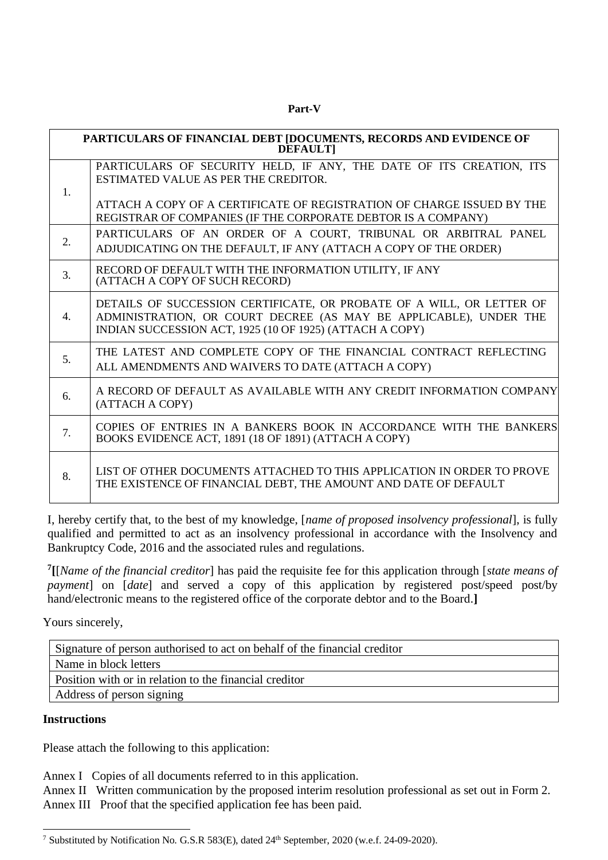**Part-V**

|    | PARTICULARS OF FINANCIAL DEBT [DOCUMENTS, RECORDS AND EVIDENCE OF<br><b>DEFAULTI</b>                                                                                                                   |  |  |  |  |
|----|--------------------------------------------------------------------------------------------------------------------------------------------------------------------------------------------------------|--|--|--|--|
| 1. | PARTICULARS OF SECURITY HELD, IF ANY, THE DATE OF ITS CREATION, ITS<br>ESTIMATED VALUE AS PER THE CREDITOR.                                                                                            |  |  |  |  |
|    | ATTACH A COPY OF A CERTIFICATE OF REGISTRATION OF CHARGE ISSUED BY THE<br>REGISTRAR OF COMPANIES (IF THE CORPORATE DEBTOR IS A COMPANY)                                                                |  |  |  |  |
| 2. | PARTICULARS OF AN ORDER OF A COURT, TRIBUNAL OR ARBITRAL PANEL<br>ADJUDICATING ON THE DEFAULT, IF ANY (ATTACH A COPY OF THE ORDER)                                                                     |  |  |  |  |
| 3. | RECORD OF DEFAULT WITH THE INFORMATION UTILITY, IF ANY<br>(ATTACH A COPY OF SUCH RECORD)                                                                                                               |  |  |  |  |
| 4. | DETAILS OF SUCCESSION CERTIFICATE, OR PROBATE OF A WILL, OR LETTER OF<br>ADMINISTRATION, OR COURT DECREE (AS MAY BE APPLICABLE), UNDER THE<br>INDIAN SUCCESSION ACT, 1925 (10 OF 1925) (ATTACH A COPY) |  |  |  |  |
| 5. | THE LATEST AND COMPLETE COPY OF THE FINANCIAL CONTRACT REFLECTING<br>ALL AMENDMENTS AND WAIVERS TO DATE (ATTACH A COPY)                                                                                |  |  |  |  |
| 6. | A RECORD OF DEFAULT AS AVAILABLE WITH ANY CREDIT INFORMATION COMPANY<br>(ATTACH A COPY)                                                                                                                |  |  |  |  |
| 7. | COPIES OF ENTRIES IN A BANKERS BOOK IN ACCORDANCE WITH THE BANKERS<br>BOOKS EVIDENCE ACT, 1891 (18 OF 1891) (ATTACH A COPY)                                                                            |  |  |  |  |
| 8. | LIST OF OTHER DOCUMENTS ATTACHED TO THIS APPLICATION IN ORDER TO PROVE<br>THE EXISTENCE OF FINANCIAL DEBT, THE AMOUNT AND DATE OF DEFAULT                                                              |  |  |  |  |

I, hereby certify that, to the best of my knowledge, [*name of proposed insolvency professional*], is fully qualified and permitted to act as an insolvency professional in accordance with the Insolvency and Bankruptcy Code, 2016 and the associated rules and regulations.

**7 [**[*Name of the financial creditor*] has paid the requisite fee for this application through [*state means of payment*] on [*date*] and served a copy of this application by registered post/speed post/by hand/electronic means to the registered office of the corporate debtor and to the Board.

Yours sincerely,

| Signature of person authorised to act on behalf of the financial creditor |  |  |
|---------------------------------------------------------------------------|--|--|
| Name in block letters                                                     |  |  |
| Position with or in relation to the financial creditor                    |  |  |
| Address of person signing                                                 |  |  |
|                                                                           |  |  |

### **Instructions**

Please attach the following to this application:

Annex I Copies of all documents referred to in this application.

Annex II Written communication by the proposed interim resolution professional as set out in Form 2. Annex III Proof that the specified application fee has been paid.

<sup>7</sup> Substituted by Notification No. G.S.R 583(E), dated 24th September, 2020 (w.e.f. 24-09-2020).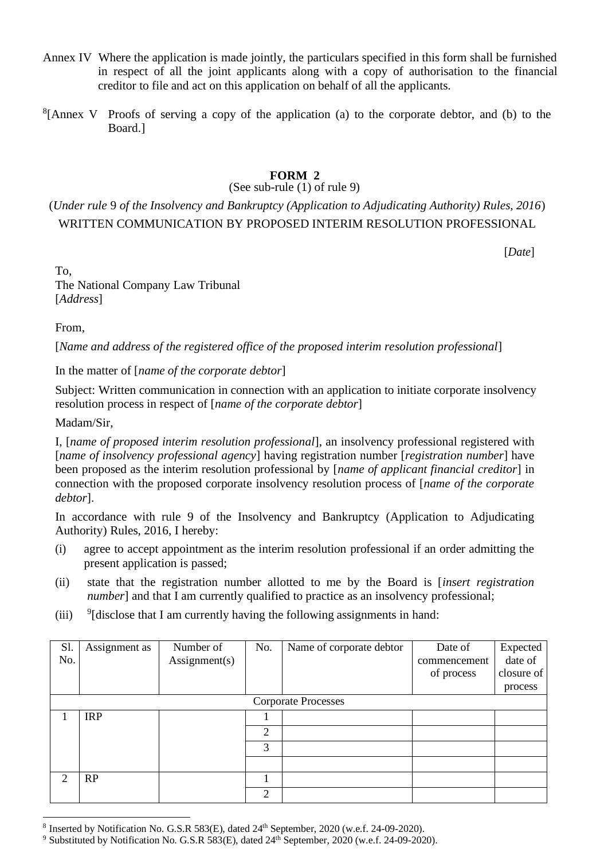- Annex IV Where the application is made jointly, the particulars specified in this form shall be furnished in respect of all the joint applicants along with a copy of authorisation to the financial creditor to file and act on this application on behalf of all the applicants.
- ${}^{8}$ [Annex V Proofs of serving a copy of the application (a) to the corporate debtor, and (b) to the Board.]

### **FORM 2**

### (See sub-rule (1) of rule 9)

# (*Under rule* 9 *of the Insolvency and Bankruptcy (Application to Adjudicating Authority) Rules, 2016*) WRITTEN COMMUNICATION BY PROPOSED INTERIM RESOLUTION PROFESSIONAL

[*Date*]

To, The National Company Law Tribunal [*Address*]

From,

[*Name and address of the registered office of the proposed interim resolution professional*]

In the matter of [*name of the corporate debtor*]

Subject: Written communication in connection with an application to initiate corporate insolvency resolution process in respect of [*name of the corporate debtor*]

Madam/Sir,

I, [*name of proposed interim resolution professional*], an insolvency professional registered with [*name of insolvency professional agency*] having registration number [*registration number*] have been proposed as the interim resolution professional by [*name of applicant financial creditor*] in connection with the proposed corporate insolvency resolution process of [*name of the corporate debtor*].

In accordance with rule 9 of the Insolvency and Bankruptcy (Application to Adjudicating Authority) Rules, 2016, I hereby:

- (i) agree to accept appointment as the interim resolution professional if an order admitting the present application is passed;
- (ii) state that the registration number allotted to me by the Board is [*insert registration number*] and that I am currently qualified to practice as an insolvency professional;
- $(iii)$  $\frac{9}{1}$  disclose that I am currently having the following assignments in hand:

| Sl.<br>No. | Assignment as | Number of<br>$\text{Assignment}(s)$ | No.            | Name of corporate debtor   | Date of<br>commencement<br>of process | Expected<br>date of<br>closure of |
|------------|---------------|-------------------------------------|----------------|----------------------------|---------------------------------------|-----------------------------------|
|            |               |                                     |                |                            |                                       | process                           |
|            |               |                                     |                | <b>Corporate Processes</b> |                                       |                                   |
|            | <b>IRP</b>    |                                     |                |                            |                                       |                                   |
|            |               |                                     | $\overline{2}$ |                            |                                       |                                   |
|            |               |                                     | 3              |                            |                                       |                                   |
|            |               |                                     |                |                            |                                       |                                   |
| 2          | RP            |                                     |                |                            |                                       |                                   |
|            |               |                                     | $\overline{2}$ |                            |                                       |                                   |

 $8$  Inserted by Notification No. G.S.R 583(E), dated  $24<sup>th</sup>$  September, 2020 (w.e.f. 24-09-2020).

<sup>&</sup>lt;sup>9</sup> Substituted by Notification No. G.S.R 583(E), dated 24<sup>th</sup> September, 2020 (w.e.f. 24-09-2020).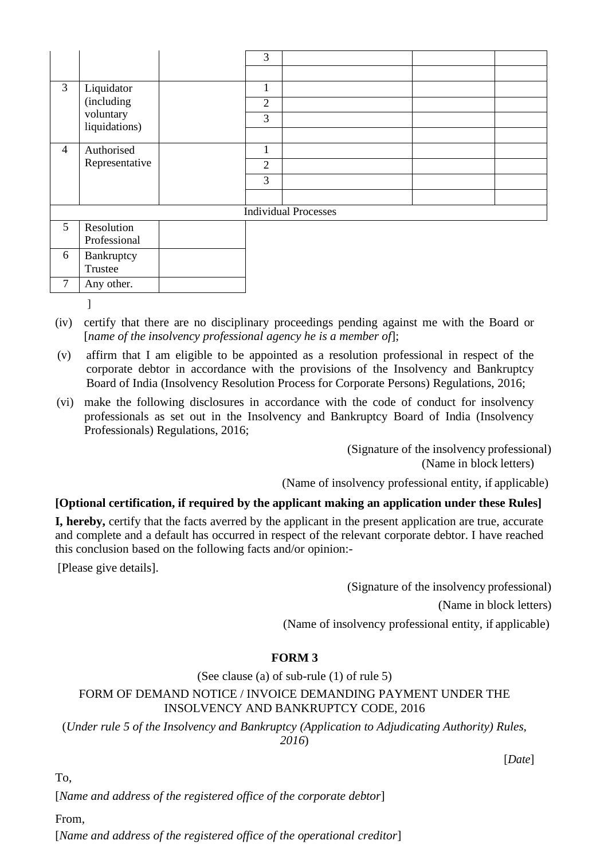|   |                            | 3              |                             |  |
|---|----------------------------|----------------|-----------------------------|--|
|   |                            |                |                             |  |
| 3 | Liquidator<br>(including   |                |                             |  |
|   |                            | $\overline{2}$ |                             |  |
|   | voluntary<br>liquidations) | $\overline{3}$ |                             |  |
|   |                            |                |                             |  |
| 4 | Authorised                 |                |                             |  |
|   | Representative             | $\overline{2}$ |                             |  |
|   |                            | 3              |                             |  |
|   |                            |                |                             |  |
|   |                            |                | <b>Individual Processes</b> |  |
| 5 | Resolution                 |                |                             |  |

|   | Resolution<br>Professional |  |
|---|----------------------------|--|
| h | Bankruptcy<br>Trustee      |  |
|   | Any other.                 |  |

]

- (iv) certify that there are no disciplinary proceedings pending against me with the Board or [*name of the insolvency professional agency he is a member of*];
- (v) affirm that I am eligible to be appointed as a resolution professional in respect of the corporate debtor in accordance with the provisions of the Insolvency and Bankruptcy Board of India (Insolvency Resolution Process for Corporate Persons) Regulations, 2016;
- (vi) make the following disclosures in accordance with the code of conduct for insolvency professionals as set out in the Insolvency and Bankruptcy Board of India (Insolvency Professionals) Regulations, 2016;

(Signature of the insolvency professional) (Name in block letters)

(Name of insolvency professional entity, if applicable)

## **[Optional certification, if required by the applicant making an application under these Rules]**

**I, hereby,** certify that the facts averred by the applicant in the present application are true, accurate and complete and a default has occurred in respect of the relevant corporate debtor. I have reached this conclusion based on the following facts and/or opinion:-

[Please give details].

(Signature of the insolvency professional)

(Name in block letters)

(Name of insolvency professional entity, if applicable)

## **FORM 3**

(See clause (a) of sub-rule (1) of rule 5)

## FORM OF DEMAND NOTICE / INVOICE DEMANDING PAYMENT UNDER THE INSOLVENCY AND BANKRUPTCY CODE, 2016

(*Under rule 5 of the Insolvency and Bankruptcy (Application to Adjudicating Authority) Rules, 2016*)

[*Date*]

To,

[*Name and address of the registered office of the corporate debtor*]

From,

[*Name and address of the registered office of the operational creditor*]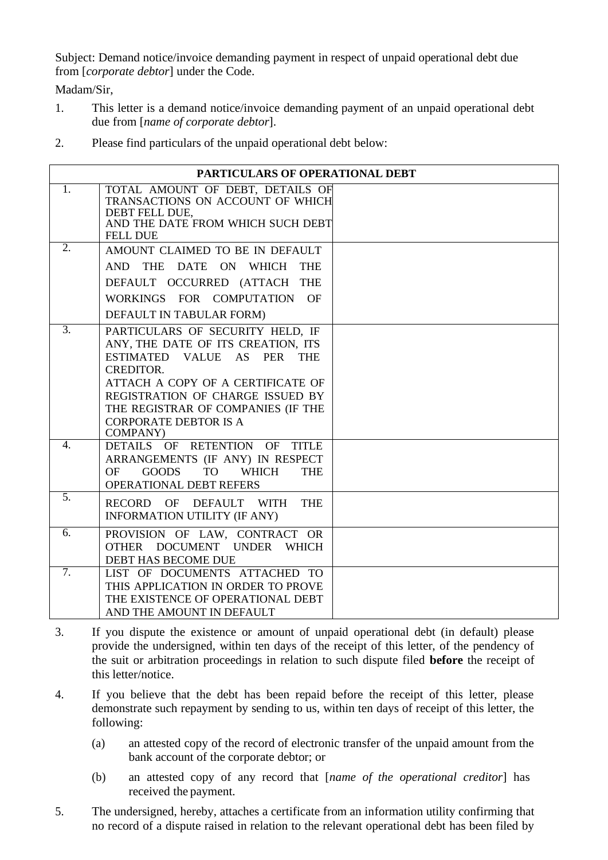Subject: Demand notice/invoice demanding payment in respect of unpaid operational debt due from [*corporate debtor*] under the Code.

Madam/Sir,

- 1. This letter is a demand notice/invoice demanding payment of an unpaid operational debt due from [*name of corporate debtor*].
- 2. Please find particulars of the unpaid operational debt below:

|                  | PARTICULARS OF OPERATIONAL DEBT                                                                                                                                                                                                                                                             |  |
|------------------|---------------------------------------------------------------------------------------------------------------------------------------------------------------------------------------------------------------------------------------------------------------------------------------------|--|
| 1.               | TOTAL AMOUNT OF DEBT, DETAILS OF<br>TRANSACTIONS ON ACCOUNT OF WHICH<br>DEBT FELL DUE,<br>AND THE DATE FROM WHICH SUCH DEBT<br><b>FELL DUE</b>                                                                                                                                              |  |
| 2.               | AMOUNT CLAIMED TO BE IN DEFAULT<br>AND THE DATE ON WHICH THE<br>DEFAULT OCCURRED (ATTACH THE<br>WORKINGS FOR COMPUTATION OF<br>DEFAULT IN TABULAR FORM)                                                                                                                                     |  |
| $\overline{3}$ . | PARTICULARS OF SECURITY HELD, IF<br>ANY, THE DATE OF ITS CREATION, ITS<br>ESTIMATED VALUE AS PER THE<br><b>CREDITOR.</b><br>ATTACH A COPY OF A CERTIFICATE OF<br>REGISTRATION OF CHARGE ISSUED BY<br>THE REGISTRAR OF COMPANIES (IF THE<br><b>CORPORATE DEBTOR IS A</b><br><b>COMPANY</b> ) |  |
| $\overline{4}$ . | DETAILS OF RETENTION OF TITLE<br>ARRANGEMENTS (IF ANY) IN RESPECT<br><b>GOODS</b><br><b>OF</b><br><b>TO</b><br><b>WHICH</b><br><b>THE</b><br>OPERATIONAL DEBT REFERS                                                                                                                        |  |
| $\overline{5}$ . | RECORD OF DEFAULT WITH<br><b>THE</b><br><b>INFORMATION UTILITY (IF ANY)</b>                                                                                                                                                                                                                 |  |
| 6.               | PROVISION OF LAW, CONTRACT OR<br>OTHER DOCUMENT UNDER WHICH<br>DEBT HAS BECOME DUE                                                                                                                                                                                                          |  |
| $\overline{7}$ . | LIST OF DOCUMENTS ATTACHED TO<br>THIS APPLICATION IN ORDER TO PROVE<br>THE EXISTENCE OF OPERATIONAL DEBT<br>AND THE AMOUNT IN DEFAULT                                                                                                                                                       |  |

- 3. If you dispute the existence or amount of unpaid operational debt (in default) please provide the undersigned, within ten days of the receipt of this letter, of the pendency of the suit or arbitration proceedings in relation to such dispute filed **before** the receipt of this letter/notice.
- 4. If you believe that the debt has been repaid before the receipt of this letter, please demonstrate such repayment by sending to us, within ten days of receipt of this letter, the following:
	- (a) an attested copy of the record of electronic transfer of the unpaid amount from the bank account of the corporate debtor; or
	- (b) an attested copy of any record that [*name of the operational creditor*] has received the payment.
- 5. The undersigned, hereby, attaches a certificate from an information utility confirming that no record of a dispute raised in relation to the relevant operational debt has been filed by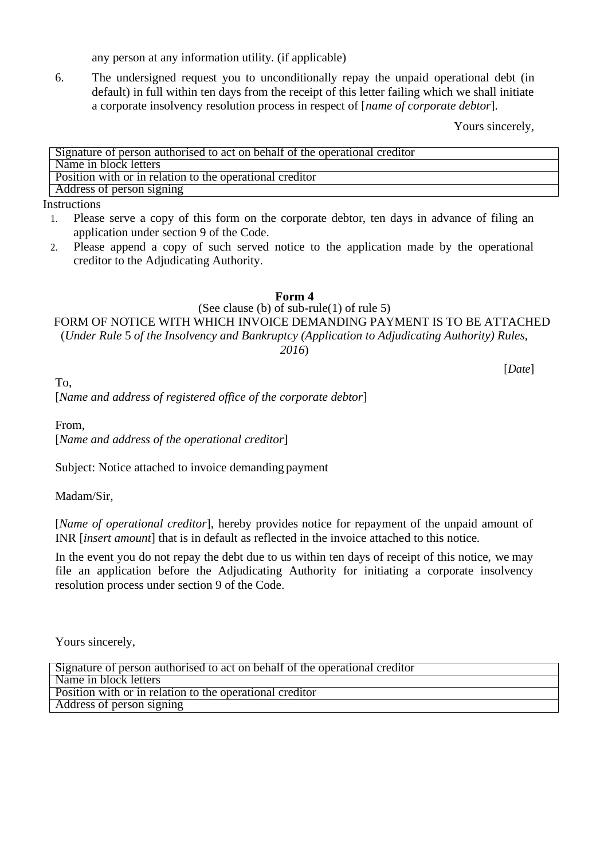any person at any information utility. (if applicable)

6. The undersigned request you to unconditionally repay the unpaid operational debt (in default) in full within ten days from the receipt of this letter failing which we shall initiate a corporate insolvency resolution process in respect of [*name of corporate debtor*].

Yours sincerely,

| Signature of person authorised to act on behalf of the operational creditor |
|-----------------------------------------------------------------------------|
| Name in block letters                                                       |
| Position with or in relation to the operational creditor                    |
| Address of person signing                                                   |

Instructions

- 1. Please serve a copy of this form on the corporate debtor, ten days in advance of filing an application under section 9 of the Code.
- 2. Please append a copy of such served notice to the application made by the operational creditor to the Adjudicating Authority.

**Form 4**

(See clause (b) of sub-rule(1) of rule 5)

FORM OF NOTICE WITH WHICH INVOICE DEMANDING PAYMENT IS TO BE ATTACHED (*Under Rule* 5 *of the Insolvency and Bankruptcy (Application to Adjudicating Authority) Rules, 2016*)

[*Date*]

To, [*Name and address of registered office of the corporate debtor*]

From, [*Name and address of the operational creditor*]

Subject: Notice attached to invoice demanding payment

Madam/Sir,

[*Name of operational creditor*], hereby provides notice for repayment of the unpaid amount of INR [*insert amount*] that is in default as reflected in the invoice attached to this notice.

In the event you do not repay the debt due to us within ten days of receipt of this notice, we may file an application before the Adjudicating Authority for initiating a corporate insolvency resolution process under section 9 of the Code.

Yours sincerely,

| Signature of person authorised to act on behalf of the operational creditor |
|-----------------------------------------------------------------------------|
| Name in block letters                                                       |
| Position with or in relation to the operational creditor                    |
| Address of person signing                                                   |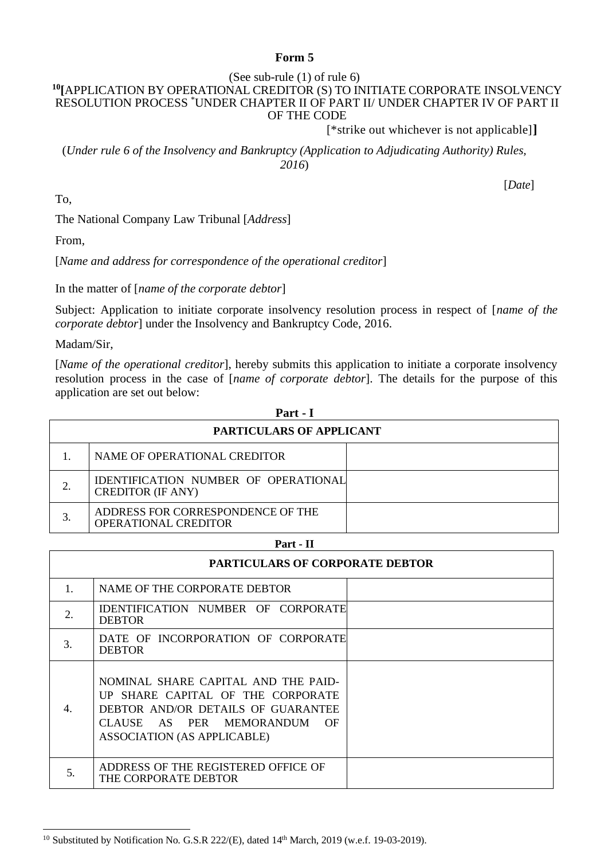#### **Form 5**

#### (See sub-rule (1) of rule 6)

#### **<sup>10</sup>[**APPLICATION BY OPERATIONAL CREDITOR (S) TO INITIATE CORPORATE INSOLVENCY RESOLUTION PROCESS \*UNDER CHAPTER II OF PART II/ UNDER CHAPTER IV OF PART II OF THE CODE

[\*strike out whichever is not applicable]**]**

(*Under rule 6 of the Insolvency and Bankruptcy (Application to Adjudicating Authority) Rules, 2016*)

[*Date*]

To,

The National Company Law Tribunal [*Address*]

From,

[*Name and address for correspondence of the operational creditor*]

In the matter of [*name of the corporate debtor*]

Subject: Application to initiate corporate insolvency resolution process in respect of [*name of the corporate debtor*] under the Insolvency and Bankruptcy Code, 2016.

Madam/Sir,

[*Name of the operational creditor*], hereby submits this application to initiate a corporate insolvency resolution process in the case of [*name of corporate debtor*]. The details for the purpose of this application are set out below:

| Part - I                 |                                                                  |  |  |  |  |
|--------------------------|------------------------------------------------------------------|--|--|--|--|
| PARTICULARS OF APPLICANT |                                                                  |  |  |  |  |
|                          | NAME OF OPERATIONAL CREDITOR                                     |  |  |  |  |
|                          | IDENTIFICATION NUMBER OF OPERATIONAL<br><b>CREDITOR (IF ANY)</b> |  |  |  |  |
|                          | ADDRESS FOR CORRESPONDENCE OF THE<br><b>OPERATIONAL CREDITOR</b> |  |  |  |  |

| ш<br>г<br>п |
|-------------|
|-------------|

| <b>PARTICULARS OF CORPORATE DEBTOR</b> |                                                                                                                                                                                     |  |
|----------------------------------------|-------------------------------------------------------------------------------------------------------------------------------------------------------------------------------------|--|
| 1.                                     | NAME OF THE CORPORATE DEBTOR                                                                                                                                                        |  |
| 2.                                     | IDENTIFICATION NUMBER OF CORPORATE<br><b>DEBTOR</b>                                                                                                                                 |  |
| 3.                                     | DATE OF INCORPORATION OF CORPORATE<br><b>DEBTOR</b>                                                                                                                                 |  |
| 4.                                     | NOMINAL SHARE CAPITAL AND THE PAID-<br>UP SHARE CAPITAL OF THE CORPORATE<br>DEBTOR AND/OR DETAILS OF GUARANTEE<br>CLAUSE AS PER MEMORANDUM OF<br><b>ASSOCIATION (AS APPLICABLE)</b> |  |
| 5.                                     | ADDRESS OF THE REGISTERED OFFICE OF<br>THE CORPORATE DEBTOR                                                                                                                         |  |

<sup>&</sup>lt;sup>10</sup> Substituted by Notification No. G.S.R 222/(E), dated  $14<sup>th</sup>$  March, 2019 (w.e.f. 19-03-2019).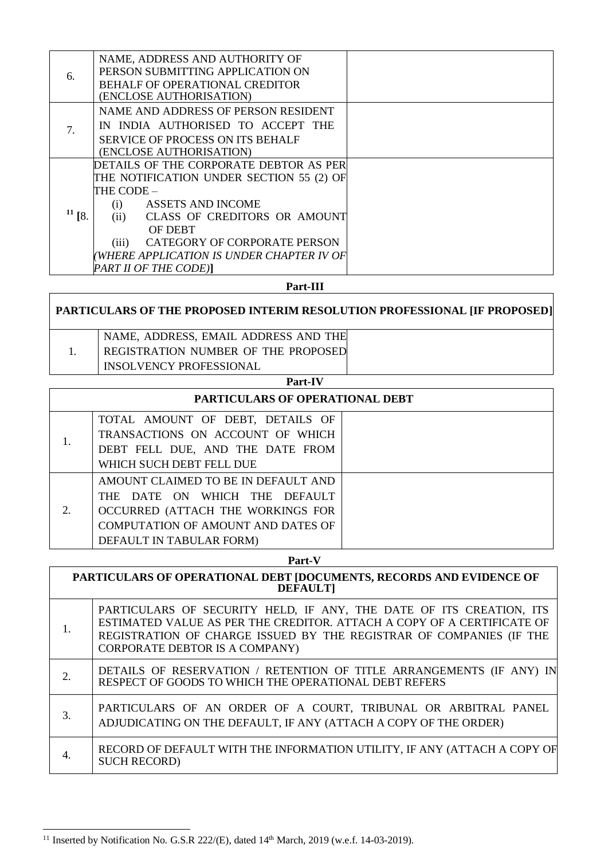| 6.          | NAME, ADDRESS AND AUTHORITY OF<br>PERSON SUBMITTING APPLICATION ON<br>BEHALF OF OPERATIONAL CREDITOR<br>(ENCLOSE AUTHORISATION)                                                                                                                                                                      |  |
|-------------|------------------------------------------------------------------------------------------------------------------------------------------------------------------------------------------------------------------------------------------------------------------------------------------------------|--|
| 7.          | NAME AND ADDRESS OF PERSON RESIDENT<br>IN INDIA AUTHORISED TO ACCEPT THE<br><b>SERVICE OF PROCESS ON ITS BEHALF</b><br>(ENCLOSE AUTHORISATION)                                                                                                                                                       |  |
| $^{11}$ [8. | DETAILS OF THE CORPORATE DEBTOR AS PER<br>THE NOTIFICATION UNDER SECTION 55 (2) OF<br>THE CODE –<br>ASSETS AND INCOME<br>(i)<br>CLASS OF CREDITORS OR AMOUNT<br>(ii)<br><b>OF DEBT</b><br>CATEGORY OF CORPORATE PERSON<br>(iii)<br>WHERE APPLICATION IS UNDER CHAPTER IV OF<br>PART II OF THE CODE)] |  |

#### **Part-III**

## **PARTICULARS OF THE PROPOSED INTERIM RESOLUTION PROFESSIONAL [IF PROPOSED]** 1. NAME, ADDRESS, EMAIL ADDRESS AND THE REGISTRATION NUMBER OF THE PROPOSED INSOLVENCY PROFESSIONAL

#### **Part-IV**

| <b>PARTICULARS OF OPERATIONAL DEBT</b> |                                                                                                                                                                             |  |  |
|----------------------------------------|-----------------------------------------------------------------------------------------------------------------------------------------------------------------------------|--|--|
|                                        | TOTAL AMOUNT OF DEBT, DETAILS OF<br>TRANSACTIONS ON ACCOUNT OF WHICH<br>DEBT FELL DUE, AND THE DATE FROM                                                                    |  |  |
|                                        | WHICH SUCH DEBT FELL DUE                                                                                                                                                    |  |  |
| 2.                                     | AMOUNT CLAIMED TO BE IN DEFAULT AND<br>THE DATE ON WHICH THE DEFAULT<br>OCCURRED (ATTACH THE WORKINGS FOR<br>COMPUTATION OF AMOUNT AND DATES OF<br>DEFAULT IN TABULAR FORM) |  |  |

#### **Part-V**

| PARTICULARS OF OPERATIONAL DEBT [DOCUMENTS, RECORDS AND EVIDENCE OF<br><b>DEFAULT</b> |                                                                                                                                                                                                                                                               |  |
|---------------------------------------------------------------------------------------|---------------------------------------------------------------------------------------------------------------------------------------------------------------------------------------------------------------------------------------------------------------|--|
| 1.                                                                                    | PARTICULARS OF SECURITY HELD, IF ANY, THE DATE OF ITS CREATION, ITS<br>ESTIMATED VALUE AS PER THE CREDITOR. ATTACH A COPY OF A CERTIFICATE OF<br>REGISTRATION OF CHARGE ISSUED BY THE REGISTRAR OF COMPANIES (IF THE<br><b>CORPORATE DEBTOR IS A COMPANY)</b> |  |
| 2.                                                                                    | DETAILS OF RESERVATION / RETENTION OF TITLE ARRANGEMENTS (IF ANY) IN<br>RESPECT OF GOODS TO WHICH THE OPERATIONAL DEBT REFERS                                                                                                                                 |  |
| 3.                                                                                    | PARTICULARS OF AN ORDER OF A COURT, TRIBUNAL OR ARBITRAL PANEL<br>ADJUDICATING ON THE DEFAULT, IF ANY (ATTACH A COPY OF THE ORDER)                                                                                                                            |  |
| 4.                                                                                    | RECORD OF DEFAULT WITH THE INFORMATION UTILITY, IF ANY (ATTACH A COPY OF<br><b>SUCH RECORD)</b>                                                                                                                                                               |  |

<sup>&</sup>lt;sup>11</sup> Inserted by Notification No. G.S.R 222/(E), dated  $14<sup>th</sup>$  March, 2019 (w.e.f. 14-03-2019).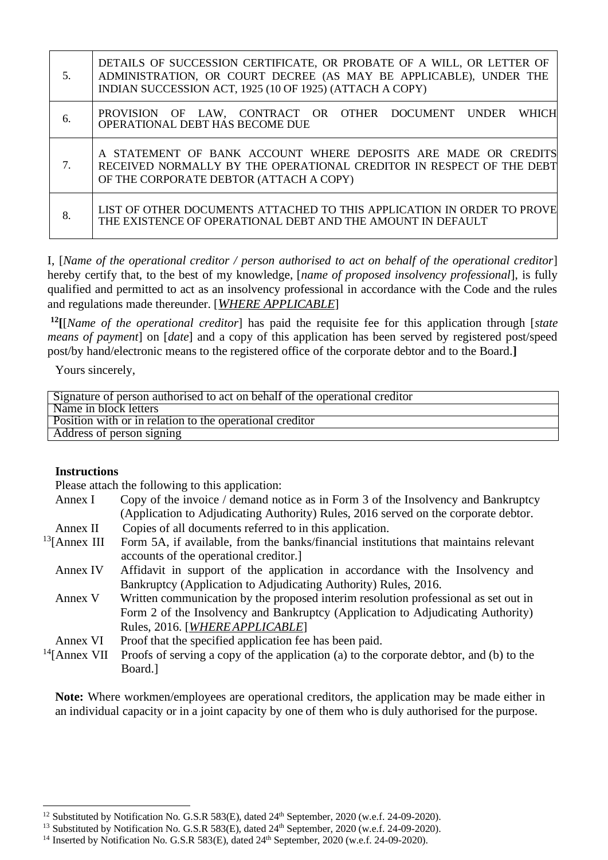| 5. | DETAILS OF SUCCESSION CERTIFICATE, OR PROBATE OF A WILL, OR LETTER OF<br>ADMINISTRATION, OR COURT DECREE (AS MAY BE APPLICABLE), UNDER THE<br>INDIAN SUCCESSION ACT, 1925 (10 OF 1925) (ATTACH A COPY) |
|----|--------------------------------------------------------------------------------------------------------------------------------------------------------------------------------------------------------|
| 6. | PROVISION OF LAW, CONTRACT OR OTHER DOCUMENT UNDER<br><b>WHICH</b><br>OPERATIONAL DEBT HAS BECOME DUE                                                                                                  |
| 7. | A STATEMENT OF BANK ACCOUNT WHERE DEPOSITS ARE MADE OR CREDITS<br>RECEIVED NORMALLY BY THE OPERATIONAL CREDITOR IN RESPECT OF THE DEBT<br>OF THE CORPORATE DEBTOR (ATTACH A COPY)                      |
| 8. | LIST OF OTHER DOCUMENTS ATTACHED TO THIS APPLICATION IN ORDER TO PROVE<br>THE EXISTENCE OF OPERATIONAL DEBT AND THE AMOUNT IN DEFAULT                                                                  |

I, [*Name of the operational creditor / person authorised to act on behalf of the operational creditor*] hereby certify that, to the best of my knowledge, [*name of proposed insolvency professional*], is fully qualified and permitted to act as an insolvency professional in accordance with the Code and the rules and regulations made thereunder. [*WHERE APPLICABLE*]

**<sup>12</sup>[**[*Name of the operational creditor*] has paid the requisite fee for this application through [*state means of payment*] on [*date*] and a copy of this application has been served by registered post/speed post/by hand/electronic means to the registered office of the corporate debtor and to the Board.**]**

Yours sincerely,

| Signature of person authorised to act on behalf of the operational creditor |  |  |
|-----------------------------------------------------------------------------|--|--|
| Name in block letters                                                       |  |  |
| Position with or in relation to the operational creditor                    |  |  |
| Address of person signing                                                   |  |  |

#### **Instructions**

Please attach the following to this application:

| Annex I          | Copy of the invoice / demand notice as in Form 3 of the Insolvency and Bankruptcy       |  |
|------------------|-----------------------------------------------------------------------------------------|--|
|                  | (Application to Adjudicating Authority) Rules, 2016 served on the corporate debtor.     |  |
| Annex II         | Copies of all documents referred to in this application.                                |  |
| $13$ [Annex III] | Form 5A, if available, from the banks/financial institutions that maintains relevant    |  |
|                  | accounts of the operational creditor.                                                   |  |
| Annex IV         | Affidavit in support of the application in accordance with the Insolvency and           |  |
|                  | Bankruptcy (Application to Adjudicating Authority) Rules, 2016.                         |  |
| Annex V          | Written communication by the proposed interim resolution professional as set out in     |  |
|                  | Form 2 of the Insolvency and Bankruptcy (Application to Adjudicating Authority)         |  |
|                  | Rules, 2016. [WHERE APPLICABLE]                                                         |  |
| Annex VI         | Proof that the specified application fee has been paid.                                 |  |
| $14$ [Annex VII] | Proofs of serving a copy of the application (a) to the corporate debtor, and (b) to the |  |
|                  | Board.]                                                                                 |  |

**Note:** Where workmen/employees are operational creditors, the application may be made either in an individual capacity or in a joint capacity by one of them who is duly authorised for the purpose.

<sup>&</sup>lt;sup>12</sup> Substituted by Notification No. G.S.R 583(E), dated 24<sup>th</sup> September, 2020 (w.e.f. 24-09-2020).

<sup>&</sup>lt;sup>13</sup> Substituted by Notification No. G.S.R 583(E), dated 24<sup>th</sup> September, 2020 (w.e.f. 24-09-2020).

<sup>&</sup>lt;sup>14</sup> Inserted by Notification No. G.S.R 583(E), dated 24<sup>th</sup> September, 2020 (w.e.f. 24-09-2020).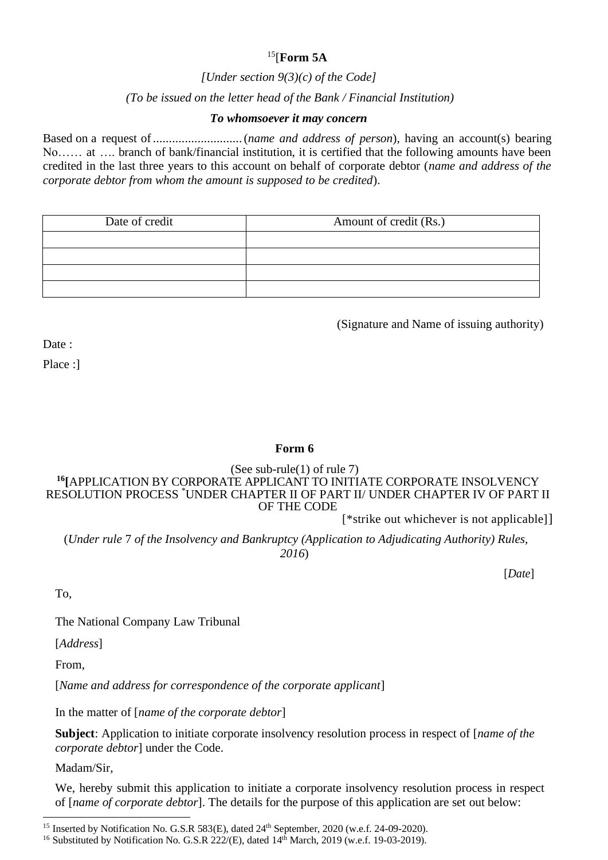## <sup>15</sup>[**Form 5A**

*[Under section 9(3)(c) of the Code]*

### *(To be issued on the letter head of the Bank / Financial Institution)*

### *To whomsoever it may concern*

Based on a request of............................(*name and address of person*), having an account(s) bearing No…… at …. branch of bank/financial institution, it is certified that the following amounts have been credited in the last three years to this account on behalf of corporate debtor (*name and address of the corporate debtor from whom the amount is supposed to be credited*).

| Date of credit | Amount of credit (Rs.) |
|----------------|------------------------|
|                |                        |
|                |                        |
|                |                        |
|                |                        |

(Signature and Name of issuing authority)

Date :

Place :]

## **Form 6**

(See sub-rule(1) of rule 7)

#### **<sup>16</sup>[**APPLICATION BY CORPORATE APPLICANT TO INITIATE CORPORATE INSOLVENCY RESOLUTION PROCESS \*UNDER CHAPTER II OF PART II/ UNDER CHAPTER IV OF PART II OF THE CODE

[\*strike out whichever is not applicable]]

(*Under rule* 7 *of the Insolvency and Bankruptcy (Application to Adjudicating Authority) Rules, 2016*)

[*Date*]

To,

The National Company Law Tribunal

[*Address*]

From,

[*Name and address for correspondence of the corporate applicant*]

In the matter of [*name of the corporate debtor*]

**Subject**: Application to initiate corporate insolvency resolution process in respect of [*name of the corporate debtor*] under the Code.

Madam/Sir,

We, hereby submit this application to initiate a corporate insolvency resolution process in respect of [*name of corporate debtor*]. The details for the purpose of this application are set out below:

<sup>&</sup>lt;sup>15</sup> Inserted by Notification No. G.S.R 583(E), dated 24<sup>th</sup> September, 2020 (w.e.f. 24-09-2020).

<sup>&</sup>lt;sup>16</sup> Substituted by Notification No. G.S.R 222/(E), dated  $14<sup>th</sup>$  March, 2019 (w.e.f. 19-03-2019).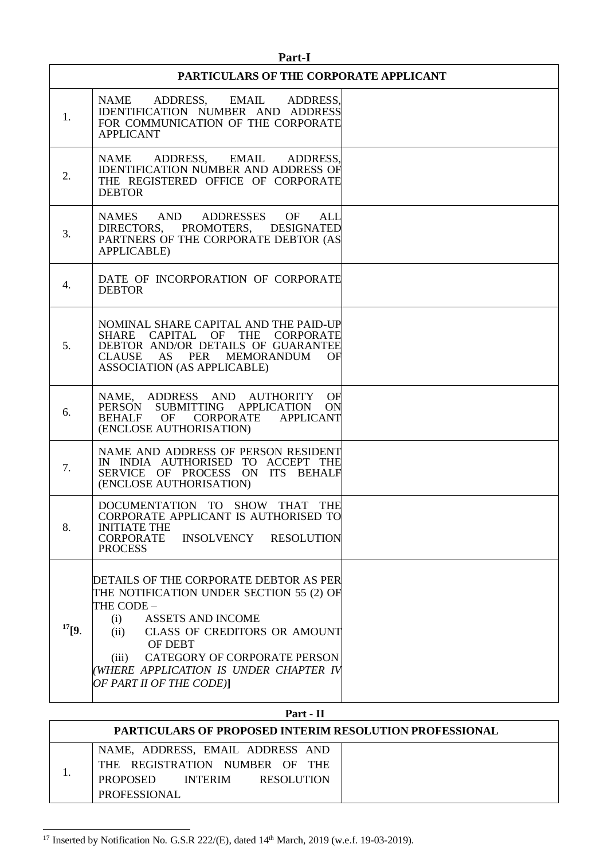| Part-I      |                                                                                                                                                                                                                                                                                                              |  |  |
|-------------|--------------------------------------------------------------------------------------------------------------------------------------------------------------------------------------------------------------------------------------------------------------------------------------------------------------|--|--|
|             | PARTICULARS OF THE CORPORATE APPLICANT                                                                                                                                                                                                                                                                       |  |  |
| 1.          | NAME ADDRESS, EMAIL ADDRESS,<br>IDENTIFICATION NUMBER AND ADDRESS<br>FOR COMMUNICATION OF THE CORPORATE<br><b>APPLICANT</b>                                                                                                                                                                                  |  |  |
| 2.          | ADDRESS, EMAIL ADDRESS,<br>NAME<br><b>IDENTIFICATION NUMBER AND ADDRESS OF</b><br>THE REGISTERED OFFICE OF CORPORATE<br><b>DEBTOR</b>                                                                                                                                                                        |  |  |
| 3.          | NAMES AND ADDRESSES OF<br>ALL<br>DIRECTORS, PROMOTERS, DESIGNATED<br>PARTNERS OF THE CORPORATE DEBTOR (AS<br><b>APPLICABLE)</b>                                                                                                                                                                              |  |  |
| 4.          | DATE OF INCORPORATION OF CORPORATE<br><b>DEBTOR</b>                                                                                                                                                                                                                                                          |  |  |
| 5.          | NOMINAL SHARE CAPITAL AND THE PAID-UP<br>SHARE CAPITAL OF THE CORPORATE<br>DEBTOR AND/OR DETAILS OF GUARANTEE<br>CLAUSE AS PER MEMORANDUM<br>OF<br>ASSOCIATION (AS APPLICABLE)                                                                                                                               |  |  |
| 6.          | NAME, ADDRESS AND AUTHORITY<br>OF<br>PERSON SUBMITTING APPLICATION<br>ON<br>BEHALF OF CORPORATE<br><b>APPLICANT</b><br>(ENCLOSE AUTHORISATION)                                                                                                                                                               |  |  |
| 7.          | NAME AND ADDRESS OF PERSON RESIDENT<br>IN INDIA AUTHORISED TO ACCEPT THE<br>SERVICE OF PROCESS ON ITS BEHALF<br>(ENCLOSE AUTHORISATION)                                                                                                                                                                      |  |  |
| 8.          | DOCUMENTATION TO SHOW THAT THE<br>CORPORATE APPLICANT IS AUTHORISED TO<br><b>INITIATE THE</b><br>CORPORATE<br>INSOLVENCY<br><b>RESOLUTION</b><br><b>PROCESS</b>                                                                                                                                              |  |  |
| $^{17}$ [9. | DETAILS OF THE CORPORATE DEBTOR AS PER<br>THE NOTIFICATION UNDER SECTION 55 (2) OF<br>THE CODE -<br>(i)<br><b>ASSETS AND INCOME</b><br><b>CLASS OF CREDITORS OR AMOUNT</b><br>(ii)<br>OF DEBT<br>CATEGORY OF CORPORATE PERSON<br>(iii)<br>(WHERE APPLICATION IS UNDER CHAPTER IV<br>OF PART II OF THE CODE)] |  |  |

### **Part - II**

 $\overline{\phantom{a}}$ 

| <b>PARTICULARS OF PROPOSED INTERIM RESOLUTION PROFESSIONAL</b> |                                                                                                                                                     |  |
|----------------------------------------------------------------|-----------------------------------------------------------------------------------------------------------------------------------------------------|--|
|                                                                | NAME, ADDRESS, EMAIL ADDRESS AND<br>THE REGISTRATION NUMBER OF THE<br><b>PROPOSED</b><br><b>INTERIM</b><br><b>RESOLUTION</b><br><b>PROFESSIONAL</b> |  |

<sup>&</sup>lt;sup>17</sup> Inserted by Notification No. G.S.R 222/(E), dated  $14<sup>th</sup>$  March, 2019 (w.e.f. 19-03-2019).

 $\mathbf{r}$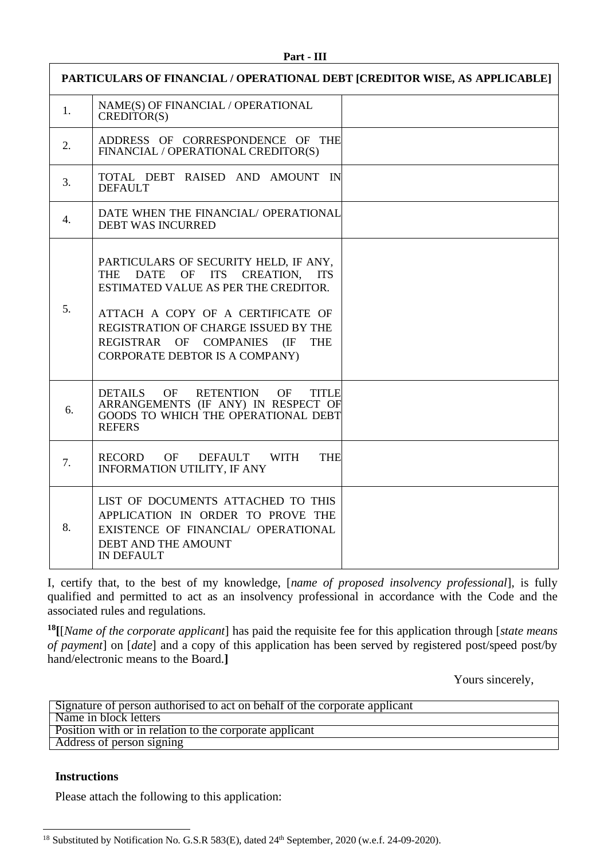| PARTICULARS OF FINANCIAL / OPERATIONAL DEBT [CREDITOR WISE, AS APPLICABLE] |                                                                                                                                                                                                                                                                              |  |
|----------------------------------------------------------------------------|------------------------------------------------------------------------------------------------------------------------------------------------------------------------------------------------------------------------------------------------------------------------------|--|
| 1.                                                                         | NAME(S) OF FINANCIAL / OPERATIONAL<br>CREDITOR(S)                                                                                                                                                                                                                            |  |
| 2.                                                                         | ADDRESS OF CORRESPONDENCE OF THE<br>FINANCIAL / OPERATIONAL CREDITOR(S)                                                                                                                                                                                                      |  |
| 3.                                                                         | TOTAL DEBT RAISED AND AMOUNT IN<br><b>DEFAULT</b>                                                                                                                                                                                                                            |  |
| 4.                                                                         | DATE WHEN THE FINANCIAL/ OPERATIONAL<br><b>DEBT WAS INCURRED</b>                                                                                                                                                                                                             |  |
| 5.                                                                         | PARTICULARS OF SECURITY HELD, IF ANY,<br>DATE OF ITS CREATION, ITS<br>THE<br>ESTIMATED VALUE AS PER THE CREDITOR.<br>ATTACH A COPY OF A CERTIFICATE OF<br>REGISTRATION OF CHARGE ISSUED BY THE<br>REGISTRAR OF COMPANIES (IF<br><b>THE</b><br>CORPORATE DEBTOR IS A COMPANY) |  |
| 6.                                                                         | <b>DETAILS</b><br><b>RETENTION</b><br><b>OF</b><br><b>TITLE</b><br>OF<br>ARRANGEMENTS (IF ANY) IN RESPECT OF<br>GOODS TO WHICH THE OPERATIONAL DEBT<br><b>REFERS</b>                                                                                                         |  |
| 7.                                                                         | RECORD<br>OF<br><b>THE</b><br><b>DEFAULT</b><br><b>WITH</b><br><b>INFORMATION UTILITY, IF ANY</b>                                                                                                                                                                            |  |
| 8.                                                                         | LIST OF DOCUMENTS ATTACHED TO THIS<br>APPLICATION IN ORDER TO PROVE THE<br>EXISTENCE OF FINANCIAL/ OPERATIONAL<br>DEBT AND THE AMOUNT<br><b>IN DEFAULT</b>                                                                                                                   |  |

I, certify that, to the best of my knowledge, [*name of proposed insolvency professional*], is fully qualified and permitted to act as an insolvency professional in accordance with the Code and the associated rules and regulations.

**<sup>18</sup>[**[*Name of the corporate applicant*] has paid the requisite fee for this application through [*state means of payment*] on [*date*] and a copy of this application has been served by registered post/speed post/by hand/electronic means to the Board.**]**

Yours sincerely,

| Signature of person authorised to act on behalf of the corporate applicant |  |  |
|----------------------------------------------------------------------------|--|--|
| Name in block letters                                                      |  |  |
| Position with or in relation to the corporate applicant                    |  |  |
| Address of person signing                                                  |  |  |

#### **Instructions**

Please attach the following to this application:

<sup>&</sup>lt;sup>18</sup> Substituted by Notification No. G.S.R 583(E), dated 24<sup>th</sup> September, 2020 (w.e.f. 24-09-2020).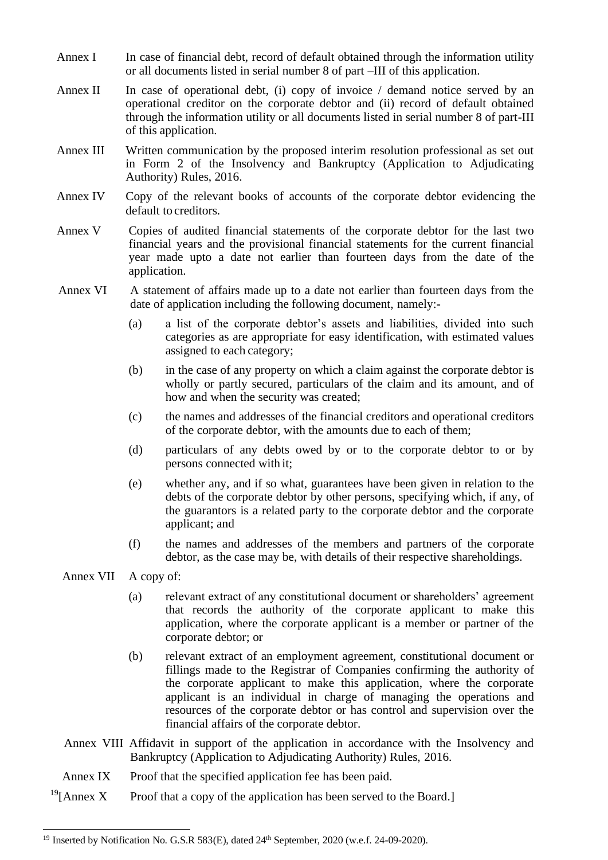- Annex I In case of financial debt, record of default obtained through the information utility or all documents listed in serial number 8 of part –III of this application.
- Annex II In case of operational debt, (i) copy of invoice  $\ell$  demand notice served by an operational creditor on the corporate debtor and (ii) record of default obtained through the information utility or all documents listed in serial number 8 of part-III of this application.
- Annex III Written communication by the proposed interim resolution professional as set out in Form 2 of the Insolvency and Bankruptcy (Application to Adjudicating Authority) Rules, 2016.
- Annex IV Copy of the relevant books of accounts of the corporate debtor evidencing the default to creditors.
- Annex V Copies of audited financial statements of the corporate debtor for the last two financial years and the provisional financial statements for the current financial year made upto a date not earlier than fourteen days from the date of the application.
- Annex VI A statement of affairs made up to a date not earlier than fourteen days from the date of application including the following document, namely:-
	- (a) a list of the corporate debtor's assets and liabilities, divided into such categories as are appropriate for easy identification, with estimated values assigned to each category;
	- (b) in the case of any property on which a claim against the corporate debtor is wholly or partly secured, particulars of the claim and its amount, and of how and when the security was created;
	- (c) the names and addresses of the financial creditors and operational creditors of the corporate debtor, with the amounts due to each of them;
	- (d) particulars of any debts owed by or to the corporate debtor to or by persons connected with it;
	- (e) whether any, and if so what, guarantees have been given in relation to the debts of the corporate debtor by other persons, specifying which, if any, of the guarantors is a related party to the corporate debtor and the corporate applicant; and
	- (f) the names and addresses of the members and partners of the corporate debtor, as the case may be, with details of their respective shareholdings.
- Annex VII A copy of:
	- (a) relevant extract of any constitutional document or shareholders' agreement that records the authority of the corporate applicant to make this application, where the corporate applicant is a member or partner of the corporate debtor; or
	- (b) relevant extract of an employment agreement, constitutional document or fillings made to the Registrar of Companies confirming the authority of the corporate applicant to make this application, where the corporate applicant is an individual in charge of managing the operations and resources of the corporate debtor or has control and supervision over the financial affairs of the corporate debtor.
- Annex VIII Affidavit in support of the application in accordance with the Insolvency and Bankruptcy (Application to Adjudicating Authority) Rules, 2016.
- Annex IX Proof that the specified application fee has been paid.
- <sup>19</sup>[Annex X Proof that a copy of the application has been served to the Board.]

<sup>&</sup>lt;sup>19</sup> Inserted by Notification No. G.S.R 583(E), dated 24<sup>th</sup> September, 2020 (w.e.f. 24-09-2020).